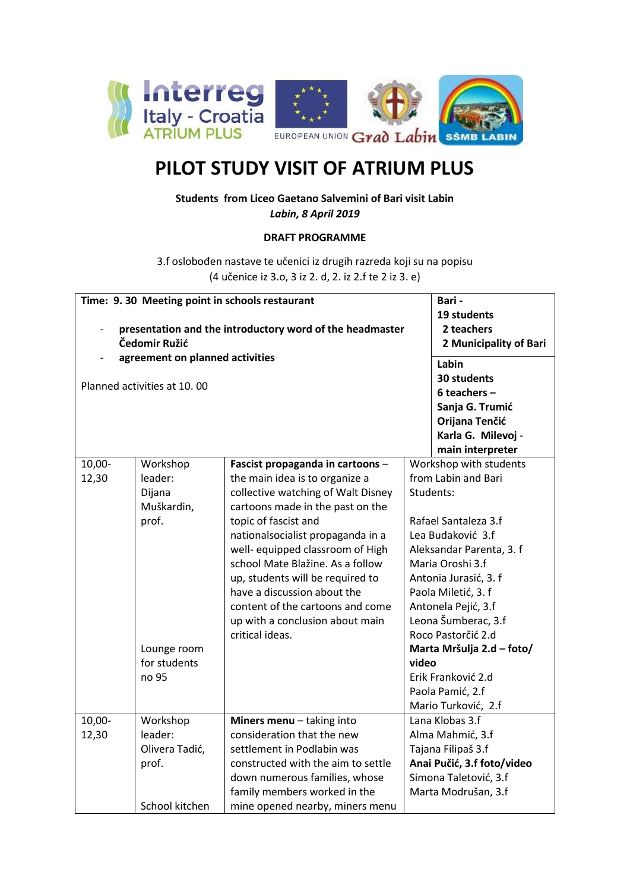

## **PILOT STUDY VISIT OF ATRIUM PLUS**

**Students from Liceo Gaetano Salvemini of Bari visit Labin** *Labin, 8 April 2019*

## **DRAFT PROGRAMME**

3.f oslobođen nastave te učenici iz drugih razreda koji su na popisu (4 učenice iz 3.o, 3 iz 2. d, 2. iz 2.f te 2 iz 3. e)

|                                                          | Time: 9.30 Meeting point in schools restaurant | Bari -                                                             |                           |                                               |  |
|----------------------------------------------------------|------------------------------------------------|--------------------------------------------------------------------|---------------------------|-----------------------------------------------|--|
| presentation and the introductory word of the headmaster | 19 students<br>2 teachers                      |                                                                    |                           |                                               |  |
| Čedomir Ružić                                            | 2 Municipality of Bari                         |                                                                    |                           |                                               |  |
|                                                          | agreement on planned activities                | Labin                                                              |                           |                                               |  |
|                                                          | Planned activities at 10.00                    | 30 students                                                        |                           |                                               |  |
|                                                          |                                                | 6 teachers $-$                                                     |                           |                                               |  |
|                                                          |                                                | Sanja G. Trumić                                                    |                           |                                               |  |
|                                                          |                                                | Orijana Tenčić                                                     |                           |                                               |  |
|                                                          |                                                | Karla G. Milevoj -                                                 |                           |                                               |  |
|                                                          |                                                |                                                                    |                           | main interpreter                              |  |
| 10,00-<br>12,30                                          | Workshop<br>leader:                            | Fascist propaganda in cartoons -<br>the main idea is to organize a |                           | Workshop with students<br>from Labin and Bari |  |
|                                                          | Dijana                                         | collective watching of Walt Disney                                 |                           | Students:                                     |  |
|                                                          | Muškardin,                                     | cartoons made in the past on the                                   |                           |                                               |  |
|                                                          | prof.                                          | topic of fascist and                                               |                           | Rafael Santaleza 3.f                          |  |
|                                                          |                                                | nationalsocialist propaganda in a                                  |                           | Lea Budaković 3.f                             |  |
|                                                          |                                                | well- equipped classroom of High                                   |                           | Aleksandar Parenta, 3. f                      |  |
|                                                          |                                                | school Mate Blažine. As a follow                                   |                           | Maria Oroshi 3.f                              |  |
|                                                          |                                                | up, students will be required to                                   |                           | Antonia Jurasić, 3. f                         |  |
|                                                          |                                                | have a discussion about the                                        |                           | Paola Miletić, 3. f                           |  |
|                                                          |                                                | content of the cartoons and come                                   |                           | Antonela Pejić, 3.f                           |  |
|                                                          |                                                | up with a conclusion about main                                    |                           | Leona Šumberac, 3.f                           |  |
|                                                          |                                                | critical ideas.                                                    |                           | Roco Pastorčić 2.d                            |  |
|                                                          | Lounge room                                    |                                                                    | Marta Mršulja 2.d - foto/ |                                               |  |
|                                                          | for students                                   |                                                                    | video                     |                                               |  |
|                                                          | no 95                                          |                                                                    |                           | Erik Franković 2.d                            |  |
|                                                          |                                                |                                                                    |                           | Paola Pamić, 2.f                              |  |
|                                                          |                                                |                                                                    |                           | Mario Turković, 2.f                           |  |
| 10,00-                                                   | Workshop                                       | Miners menu - taking into                                          |                           | Lana Klobas 3.f                               |  |
| 12,30                                                    | leader:                                        | consideration that the new                                         |                           | Alma Mahmić, 3.f                              |  |
|                                                          | Olivera Tadić,                                 | settlement in Podlabin was                                         |                           | Tajana Filipaš 3.f                            |  |
|                                                          | prof.                                          | constructed with the aim to settle                                 |                           | Anai Pučić, 3.f foto/video                    |  |
|                                                          |                                                | down numerous families, whose                                      |                           | Simona Taletović, 3.f                         |  |
|                                                          |                                                | family members worked in the                                       |                           | Marta Modrušan, 3.f                           |  |
|                                                          | School kitchen                                 | mine opened nearby, miners menu                                    |                           |                                               |  |